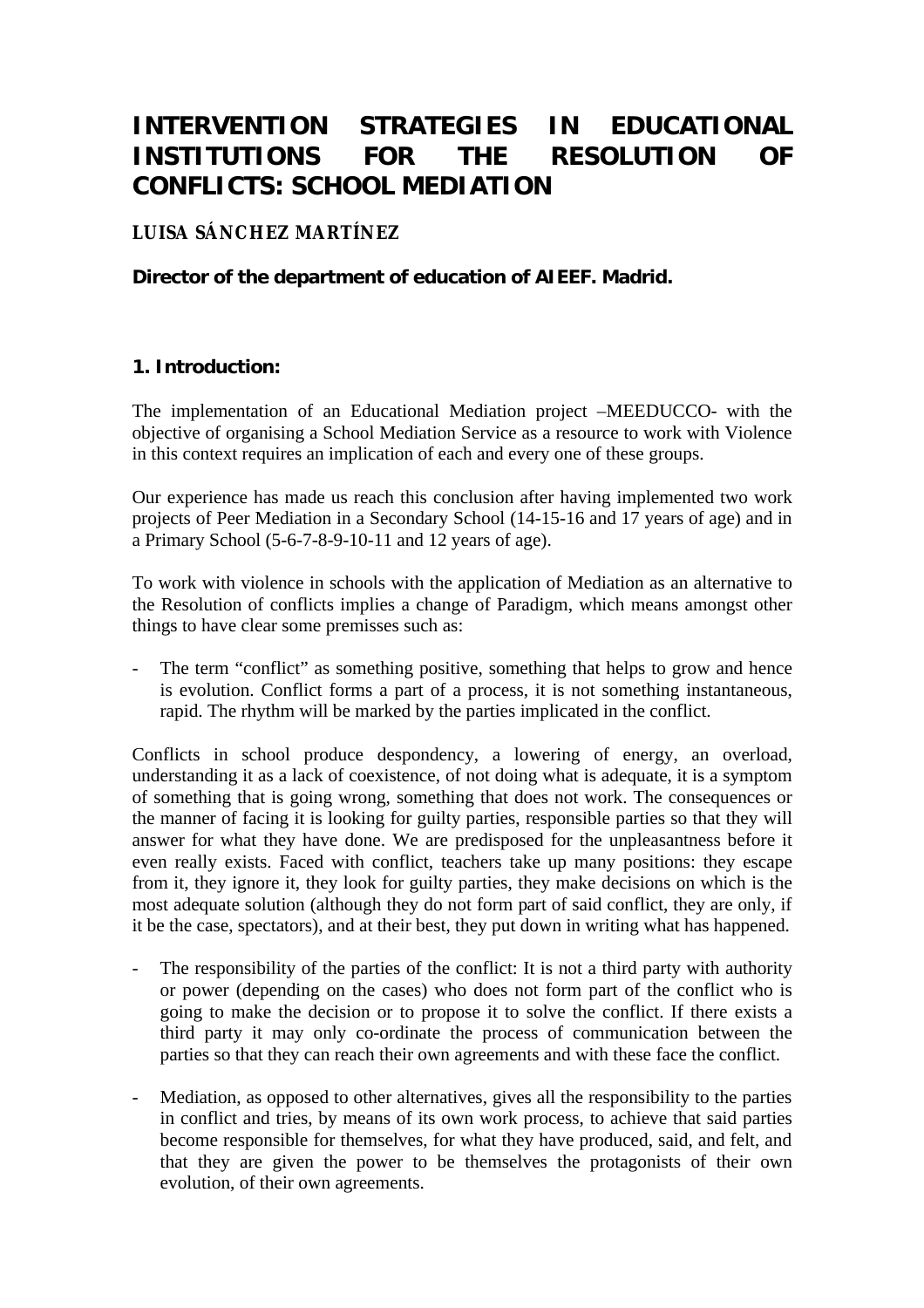# **INTERVENTION STRATEGIES IN EDUCATIONAL INSTITUTIONS FOR THE RESOLUTION OF CONFLICTS: SCHOOL MEDIATION**

# **LUISA SÁNCHEZ MARTÍNEZ**

# **Director of the department of education of AIEEF. Madrid.**

#### **1. Introduction:**

The implementation of an Educational Mediation project –MEEDUCCO- with the objective of organising a School Mediation Service as a resource to work with Violence in this context requires an implication of each and every one of these groups.

Our experience has made us reach this conclusion after having implemented two work projects of Peer Mediation in a Secondary School (14-15-16 and 17 years of age) and in a Primary School (5-6-7-8-9-10-11 and 12 years of age).

To work with violence in schools with the application of Mediation as an alternative to the Resolution of conflicts implies a change of Paradigm, which means amongst other things to have clear some premisses such as:

The term "conflict" as something positive, something that helps to grow and hence is evolution. Conflict forms a part of a process, it is not something instantaneous, rapid. The rhythm will be marked by the parties implicated in the conflict.

Conflicts in school produce despondency, a lowering of energy, an overload, understanding it as a lack of coexistence, of not doing what is adequate, it is a symptom of something that is going wrong, something that does not work. The consequences or the manner of facing it is looking for guilty parties, responsible parties so that they will answer for what they have done. We are predisposed for the unpleasantness before it even really exists. Faced with conflict, teachers take up many positions: they escape from it, they ignore it, they look for guilty parties, they make decisions on which is the most adequate solution (although they do not form part of said conflict, they are only, if it be the case, spectators), and at their best, they put down in writing what has happened.

- The responsibility of the parties of the conflict: It is not a third party with authority or power (depending on the cases) who does not form part of the conflict who is going to make the decision or to propose it to solve the conflict. If there exists a third party it may only co-ordinate the process of communication between the parties so that they can reach their own agreements and with these face the conflict.
- Mediation, as opposed to other alternatives, gives all the responsibility to the parties in conflict and tries, by means of its own work process, to achieve that said parties become responsible for themselves, for what they have produced, said, and felt, and that they are given the power to be themselves the protagonists of their own evolution, of their own agreements.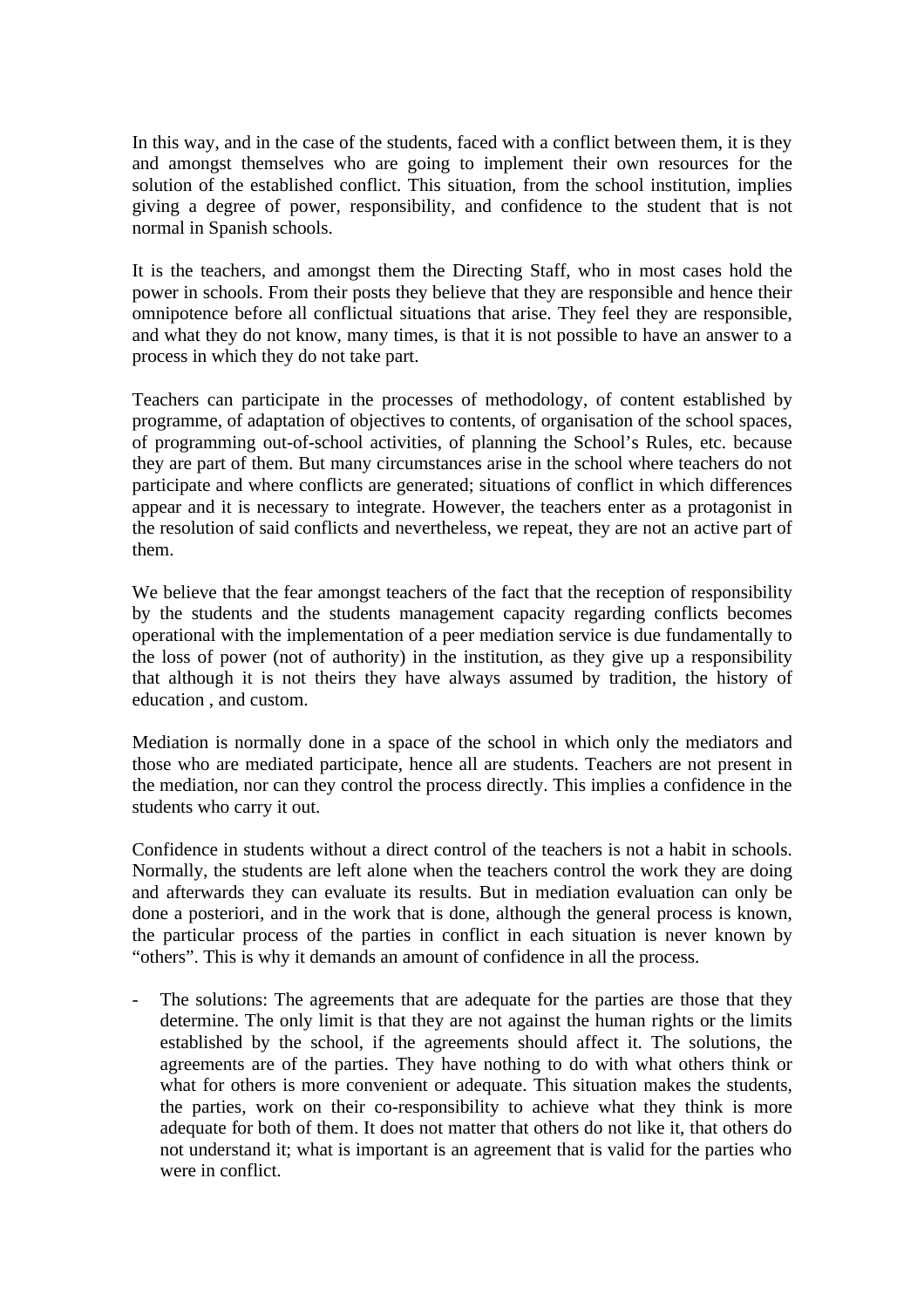In this way, and in the case of the students, faced with a conflict between them, it is they and amongst themselves who are going to implement their own resources for the solution of the established conflict. This situation, from the school institution, implies giving a degree of power, responsibility, and confidence to the student that is not normal in Spanish schools.

It is the teachers, and amongst them the Directing Staff, who in most cases hold the power in schools. From their posts they believe that they are responsible and hence their omnipotence before all conflictual situations that arise. They feel they are responsible, and what they do not know, many times, is that it is not possible to have an answer to a process in which they do not take part.

Teachers can participate in the processes of methodology, of content established by programme, of adaptation of objectives to contents, of organisation of the school spaces, of programming out-of-school activities, of planning the School's Rules, etc. because they are part of them. But many circumstances arise in the school where teachers do not participate and where conflicts are generated; situations of conflict in which differences appear and it is necessary to integrate. However, the teachers enter as a protagonist in the resolution of said conflicts and nevertheless, we repeat, they are not an active part of them.

We believe that the fear amongst teachers of the fact that the reception of responsibility by the students and the students management capacity regarding conflicts becomes operational with the implementation of a peer mediation service is due fundamentally to the loss of power (not of authority) in the institution, as they give up a responsibility that although it is not theirs they have always assumed by tradition, the history of education , and custom.

Mediation is normally done in a space of the school in which only the mediators and those who are mediated participate, hence all are students. Teachers are not present in the mediation, nor can they control the process directly. This implies a confidence in the students who carry it out.

Confidence in students without a direct control of the teachers is not a habit in schools. Normally, the students are left alone when the teachers control the work they are doing and afterwards they can evaluate its results. But in mediation evaluation can only be done a posteriori, and in the work that is done, although the general process is known, the particular process of the parties in conflict in each situation is never known by "others". This is why it demands an amount of confidence in all the process.

- The solutions: The agreements that are adequate for the parties are those that they determine. The only limit is that they are not against the human rights or the limits established by the school, if the agreements should affect it. The solutions, the agreements are of the parties. They have nothing to do with what others think or what for others is more convenient or adequate. This situation makes the students, the parties, work on their co-responsibility to achieve what they think is more adequate for both of them. It does not matter that others do not like it, that others do not understand it; what is important is an agreement that is valid for the parties who were in conflict.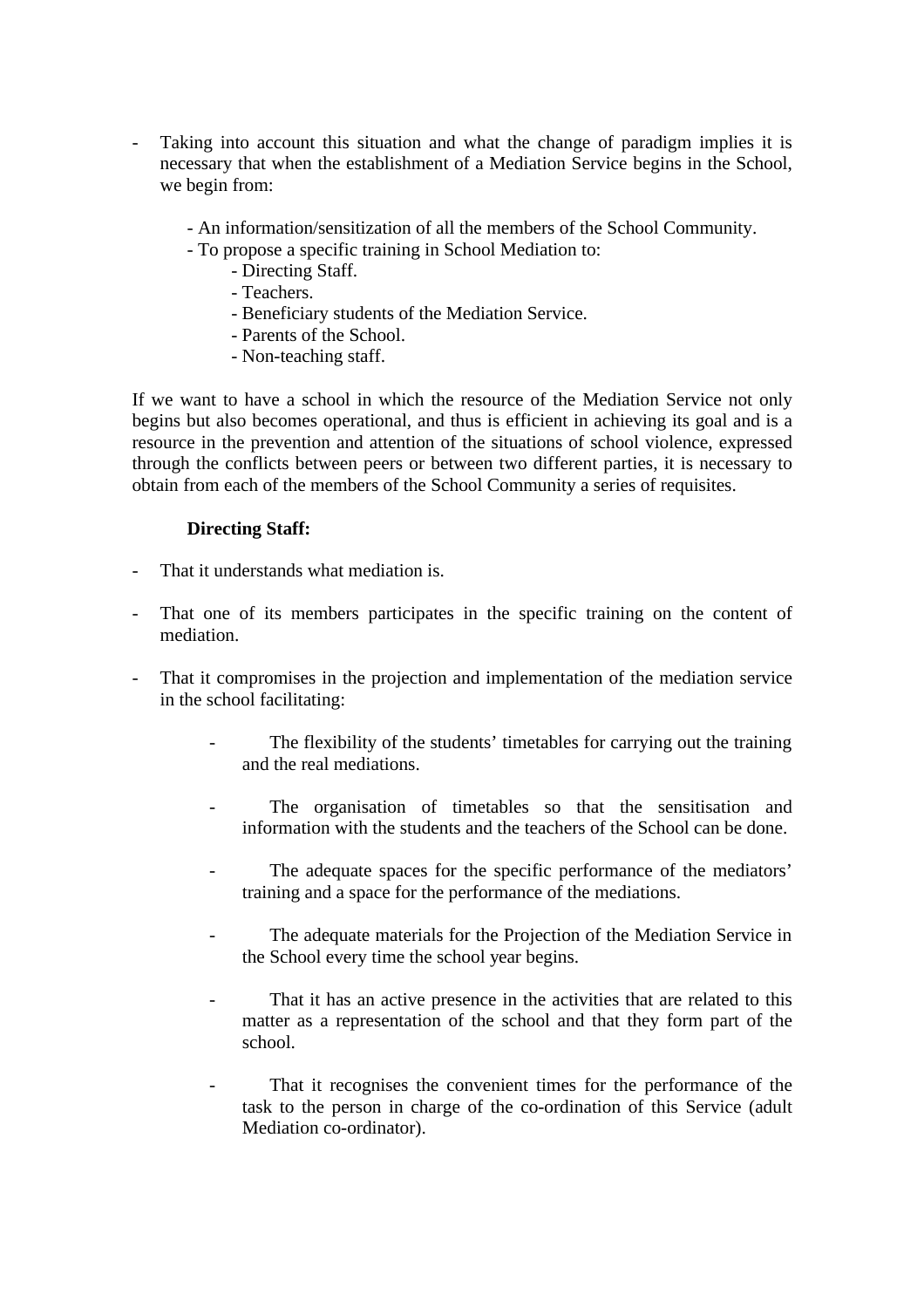- Taking into account this situation and what the change of paradigm implies it is necessary that when the establishment of a Mediation Service begins in the School, we begin from:
	- An information/sensitization of all the members of the School Community.
	- To propose a specific training in School Mediation to:
		- Directing Staff.
		- Teachers.
		- Beneficiary students of the Mediation Service.
		- Parents of the School.
		- Non-teaching staff.

If we want to have a school in which the resource of the Mediation Service not only begins but also becomes operational, and thus is efficient in achieving its goal and is a resource in the prevention and attention of the situations of school violence, expressed through the conflicts between peers or between two different parties, it is necessary to obtain from each of the members of the School Community a series of requisites.

#### **Directing Staff:**

- That it understands what mediation is.
- That one of its members participates in the specific training on the content of mediation.
- That it compromises in the projection and implementation of the mediation service in the school facilitating:
	- The flexibility of the students' timetables for carrying out the training and the real mediations.
	- The organisation of timetables so that the sensitisation and information with the students and the teachers of the School can be done.
	- The adequate spaces for the specific performance of the mediators' training and a space for the performance of the mediations.
	- The adequate materials for the Projection of the Mediation Service in the School every time the school year begins.
	- That it has an active presence in the activities that are related to this matter as a representation of the school and that they form part of the school.
	- That it recognises the convenient times for the performance of the task to the person in charge of the co-ordination of this Service (adult Mediation co-ordinator).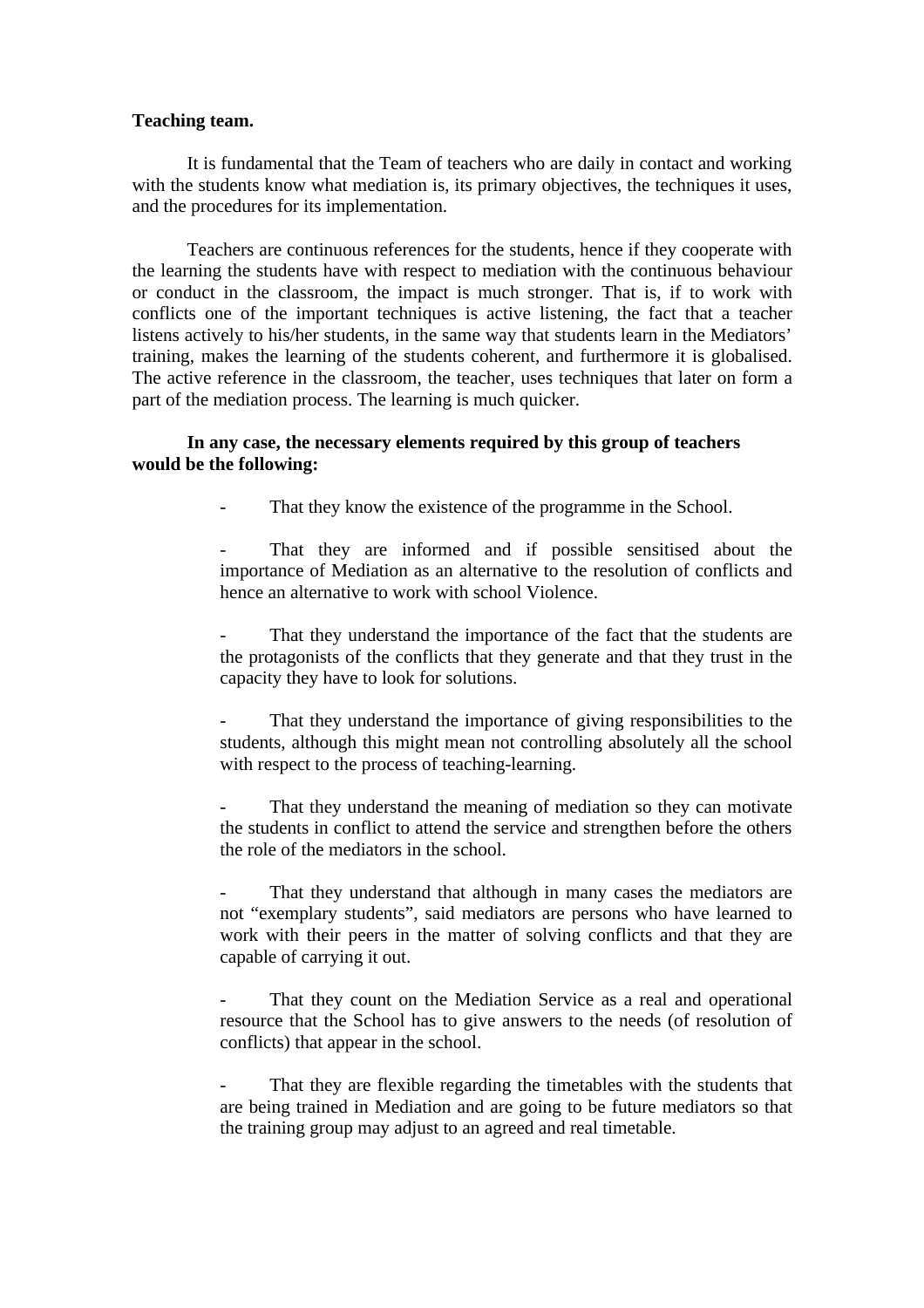#### **Teaching team.**

It is fundamental that the Team of teachers who are daily in contact and working with the students know what mediation is, its primary objectives, the techniques it uses, and the procedures for its implementation.

Teachers are continuous references for the students, hence if they cooperate with the learning the students have with respect to mediation with the continuous behaviour or conduct in the classroom, the impact is much stronger. That is, if to work with conflicts one of the important techniques is active listening, the fact that a teacher listens actively to his/her students, in the same way that students learn in the Mediators' training, makes the learning of the students coherent, and furthermore it is globalised. The active reference in the classroom, the teacher, uses techniques that later on form a part of the mediation process. The learning is much quicker.

#### **In any case, the necessary elements required by this group of teachers would be the following:**

That they know the existence of the programme in the School.

That they are informed and if possible sensitised about the importance of Mediation as an alternative to the resolution of conflicts and hence an alternative to work with school Violence.

That they understand the importance of the fact that the students are the protagonists of the conflicts that they generate and that they trust in the capacity they have to look for solutions.

That they understand the importance of giving responsibilities to the students, although this might mean not controlling absolutely all the school with respect to the process of teaching-learning.

That they understand the meaning of mediation so they can motivate the students in conflict to attend the service and strengthen before the others the role of the mediators in the school.

That they understand that although in many cases the mediators are not "exemplary students", said mediators are persons who have learned to work with their peers in the matter of solving conflicts and that they are capable of carrying it out.

That they count on the Mediation Service as a real and operational resource that the School has to give answers to the needs (of resolution of conflicts) that appear in the school.

That they are flexible regarding the timetables with the students that are being trained in Mediation and are going to be future mediators so that the training group may adjust to an agreed and real timetable.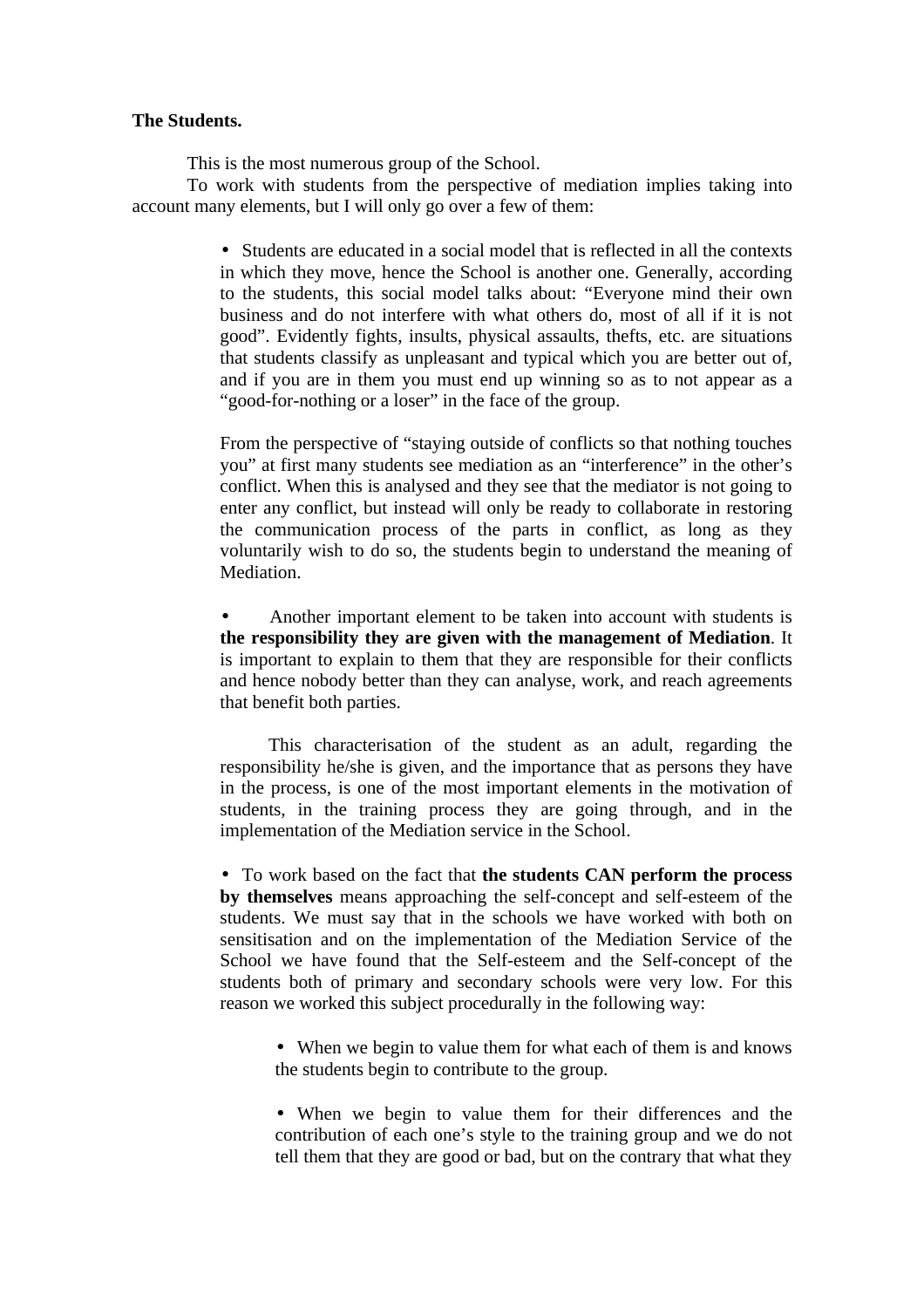#### **The Students.**

This is the most numerous group of the School.

To work with students from the perspective of mediation implies taking into account many elements, but I will only go over a few of them:

> • Students are educated in a social model that is reflected in all the contexts in which they move, hence the School is another one. Generally, according to the students, this social model talks about: "Everyone mind their own business and do not interfere with what others do, most of all if it is not good". Evidently fights, insults, physical assaults, thefts, etc. are situations that students classify as unpleasant and typical which you are better out of, and if you are in them you must end up winning so as to not appear as a "good-for-nothing or a loser" in the face of the group.

> From the perspective of "staying outside of conflicts so that nothing touches you" at first many students see mediation as an "interference" in the other's conflict. When this is analysed and they see that the mediator is not going to enter any conflict, but instead will only be ready to collaborate in restoring the communication process of the parts in conflict, as long as they voluntarily wish to do so, the students begin to understand the meaning of Mediation.

> • Another important element to be taken into account with students is **the responsibility they are given with the management of Mediation**. It is important to explain to them that they are responsible for their conflicts and hence nobody better than they can analyse, work, and reach agreements that benefit both parties.

> This characterisation of the student as an adult, regarding the responsibility he/she is given, and the importance that as persons they have in the process, is one of the most important elements in the motivation of students, in the training process they are going through, and in the implementation of the Mediation service in the School.

> • To work based on the fact that **the students CAN perform the process by themselves** means approaching the self-concept and self-esteem of the students. We must say that in the schools we have worked with both on sensitisation and on the implementation of the Mediation Service of the School we have found that the Self-esteem and the Self-concept of the students both of primary and secondary schools were very low. For this reason we worked this subject procedurally in the following way:

• When we begin to value them for what each of them is and knows the students begin to contribute to the group.

• When we begin to value them for their differences and the contribution of each one's style to the training group and we do not tell them that they are good or bad, but on the contrary that what they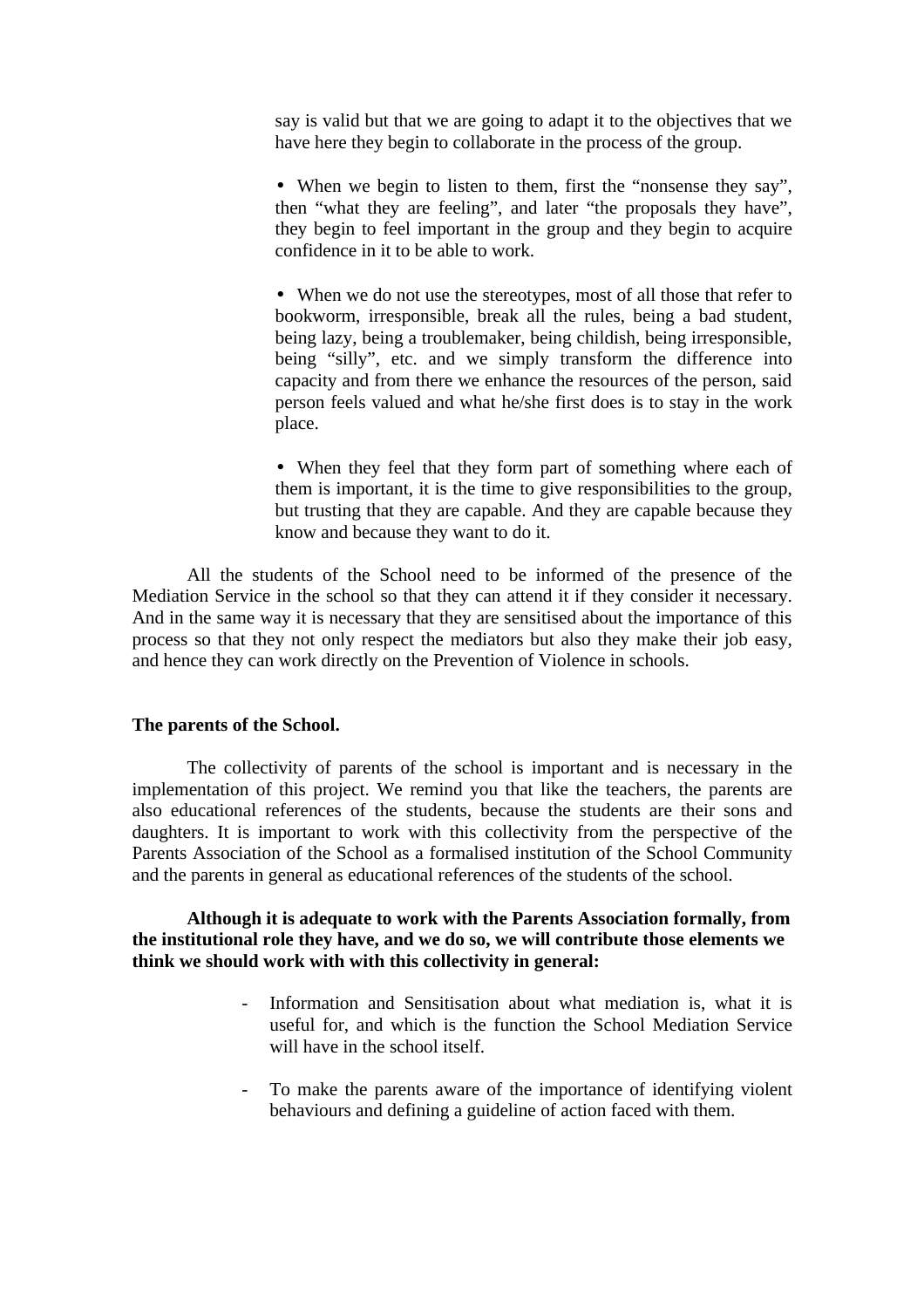say is valid but that we are going to adapt it to the objectives that we have here they begin to collaborate in the process of the group.

• When we begin to listen to them, first the "nonsense they say", then "what they are feeling", and later "the proposals they have", they begin to feel important in the group and they begin to acquire confidence in it to be able to work.

• When we do not use the stereotypes, most of all those that refer to bookworm, irresponsible, break all the rules, being a bad student, being lazy, being a troublemaker, being childish, being irresponsible, being "silly", etc. and we simply transform the difference into capacity and from there we enhance the resources of the person, said person feels valued and what he/she first does is to stay in the work place.

• When they feel that they form part of something where each of them is important, it is the time to give responsibilities to the group, but trusting that they are capable. And they are capable because they know and because they want to do it.

All the students of the School need to be informed of the presence of the Mediation Service in the school so that they can attend it if they consider it necessary. And in the same way it is necessary that they are sensitised about the importance of this process so that they not only respect the mediators but also they make their job easy, and hence they can work directly on the Prevention of Violence in schools.

#### **The parents of the School.**

The collectivity of parents of the school is important and is necessary in the implementation of this project. We remind you that like the teachers, the parents are also educational references of the students, because the students are their sons and daughters. It is important to work with this collectivity from the perspective of the Parents Association of the School as a formalised institution of the School Community and the parents in general as educational references of the students of the school.

**Although it is adequate to work with the Parents Association formally, from the institutional role they have, and we do so, we will contribute those elements we think we should work with with this collectivity in general:**

- Information and Sensitisation about what mediation is, what it is useful for, and which is the function the School Mediation Service will have in the school itself.
- To make the parents aware of the importance of identifying violent behaviours and defining a guideline of action faced with them.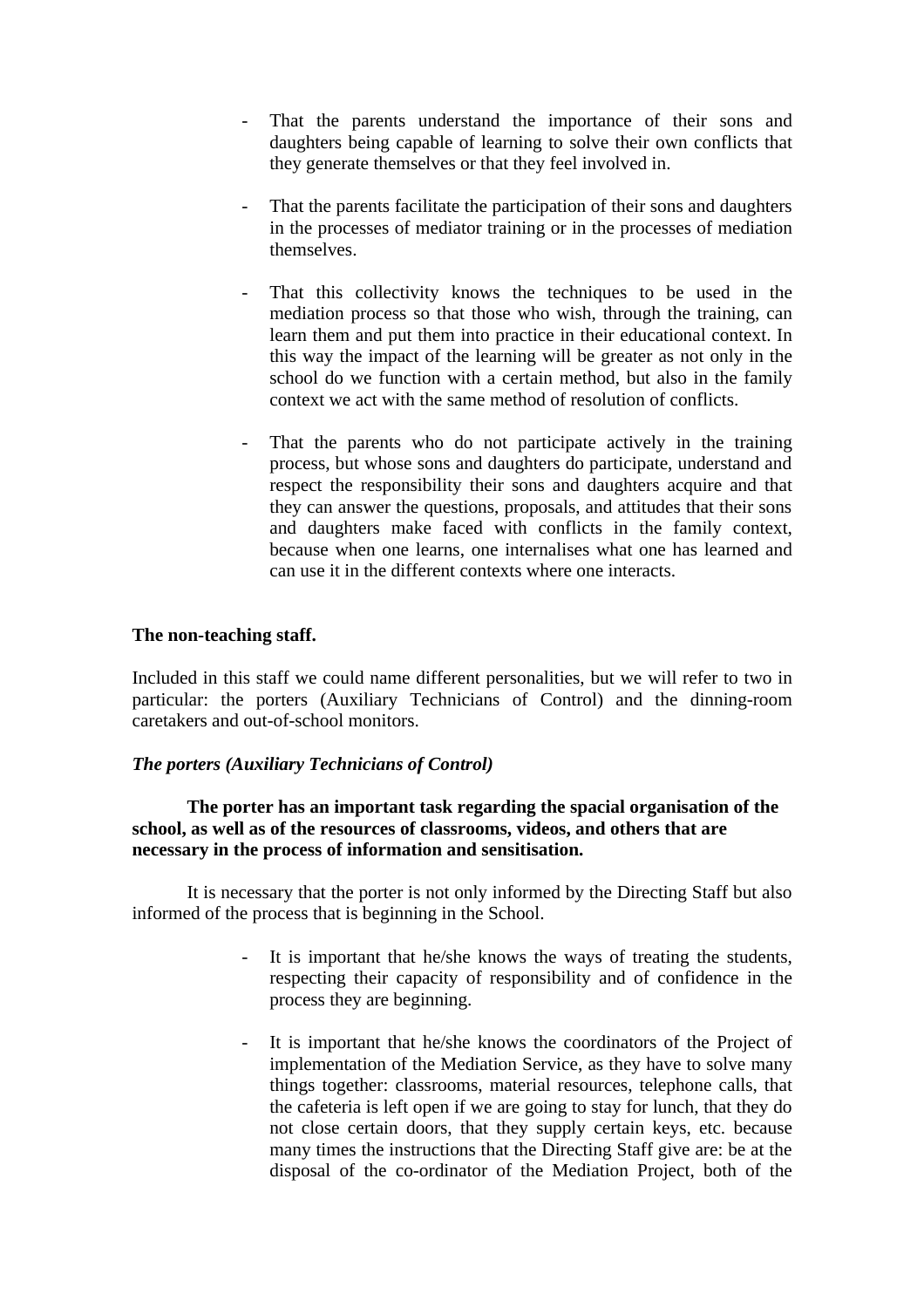- That the parents understand the importance of their sons and daughters being capable of learning to solve their own conflicts that they generate themselves or that they feel involved in.
- That the parents facilitate the participation of their sons and daughters in the processes of mediator training or in the processes of mediation themselves.
- That this collectivity knows the techniques to be used in the mediation process so that those who wish, through the training, can learn them and put them into practice in their educational context. In this way the impact of the learning will be greater as not only in the school do we function with a certain method, but also in the family context we act with the same method of resolution of conflicts.
- That the parents who do not participate actively in the training process, but whose sons and daughters do participate, understand and respect the responsibility their sons and daughters acquire and that they can answer the questions, proposals, and attitudes that their sons and daughters make faced with conflicts in the family context, because when one learns, one internalises what one has learned and can use it in the different contexts where one interacts.

#### **The non-teaching staff.**

Included in this staff we could name different personalities, but we will refer to two in particular: the porters (Auxiliary Technicians of Control) and the dinning-room caretakers and out-of-school monitors.

#### *The porters (Auxiliary Technicians of Control)*

#### **The porter has an important task regarding the spacial organisation of the school, as well as of the resources of classrooms, videos, and others that are necessary in the process of information and sensitisation.**

It is necessary that the porter is not only informed by the Directing Staff but also informed of the process that is beginning in the School.

- It is important that he/she knows the ways of treating the students, respecting their capacity of responsibility and of confidence in the process they are beginning.
- It is important that he/she knows the coordinators of the Project of implementation of the Mediation Service, as they have to solve many things together: classrooms, material resources, telephone calls, that the cafeteria is left open if we are going to stay for lunch, that they do not close certain doors, that they supply certain keys, etc. because many times the instructions that the Directing Staff give are: be at the disposal of the co-ordinator of the Mediation Project, both of the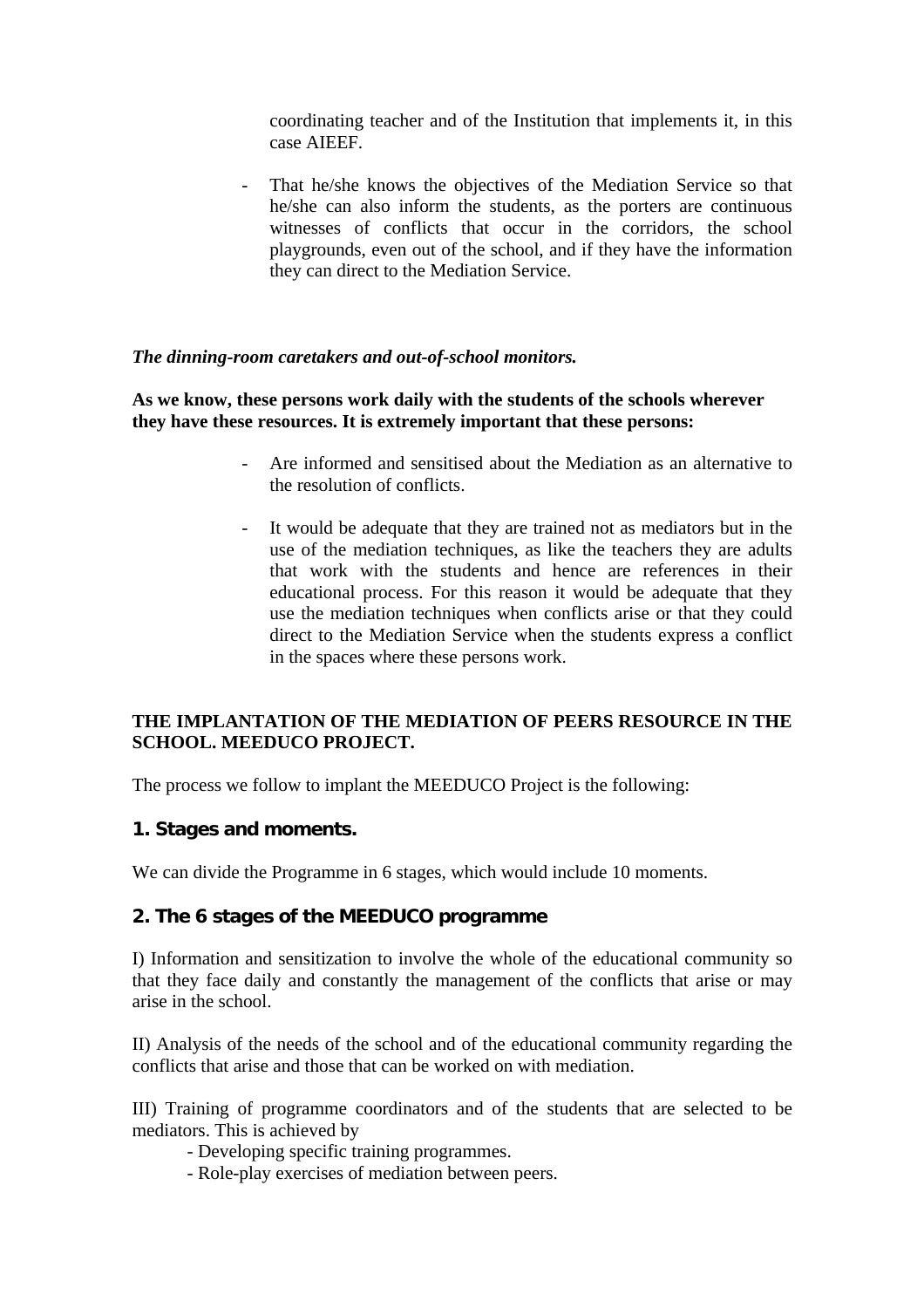coordinating teacher and of the Institution that implements it, in this case AIEEF.

- That he/she knows the objectives of the Mediation Service so that he/she can also inform the students, as the porters are continuous witnesses of conflicts that occur in the corridors, the school playgrounds, even out of the school, and if they have the information they can direct to the Mediation Service.

#### *The dinning-room caretakers and out-of-school monitors.*

**As we know, these persons work daily with the students of the schools wherever they have these resources. It is extremely important that these persons:**

- Are informed and sensitised about the Mediation as an alternative to the resolution of conflicts.
- It would be adequate that they are trained not as mediators but in the use of the mediation techniques, as like the teachers they are adults that work with the students and hence are references in their educational process. For this reason it would be adequate that they use the mediation techniques when conflicts arise or that they could direct to the Mediation Service when the students express a conflict in the spaces where these persons work.

#### **THE IMPLANTATION OF THE MEDIATION OF PEERS RESOURCE IN THE SCHOOL. MEEDUCO PROJECT.**

The process we follow to implant the MEEDUCO Project is the following:

# **1. Stages and moments.**

We can divide the Programme in 6 stages, which would include 10 moments.

#### **2. The 6 stages of the MEEDUCO programme**

I) Information and sensitization to involve the whole of the educational community so that they face daily and constantly the management of the conflicts that arise or may arise in the school.

II) Analysis of the needs of the school and of the educational community regarding the conflicts that arise and those that can be worked on with mediation.

III) Training of programme coordinators and of the students that are selected to be mediators. This is achieved by

- Developing specific training programmes.
- Role-play exercises of mediation between peers.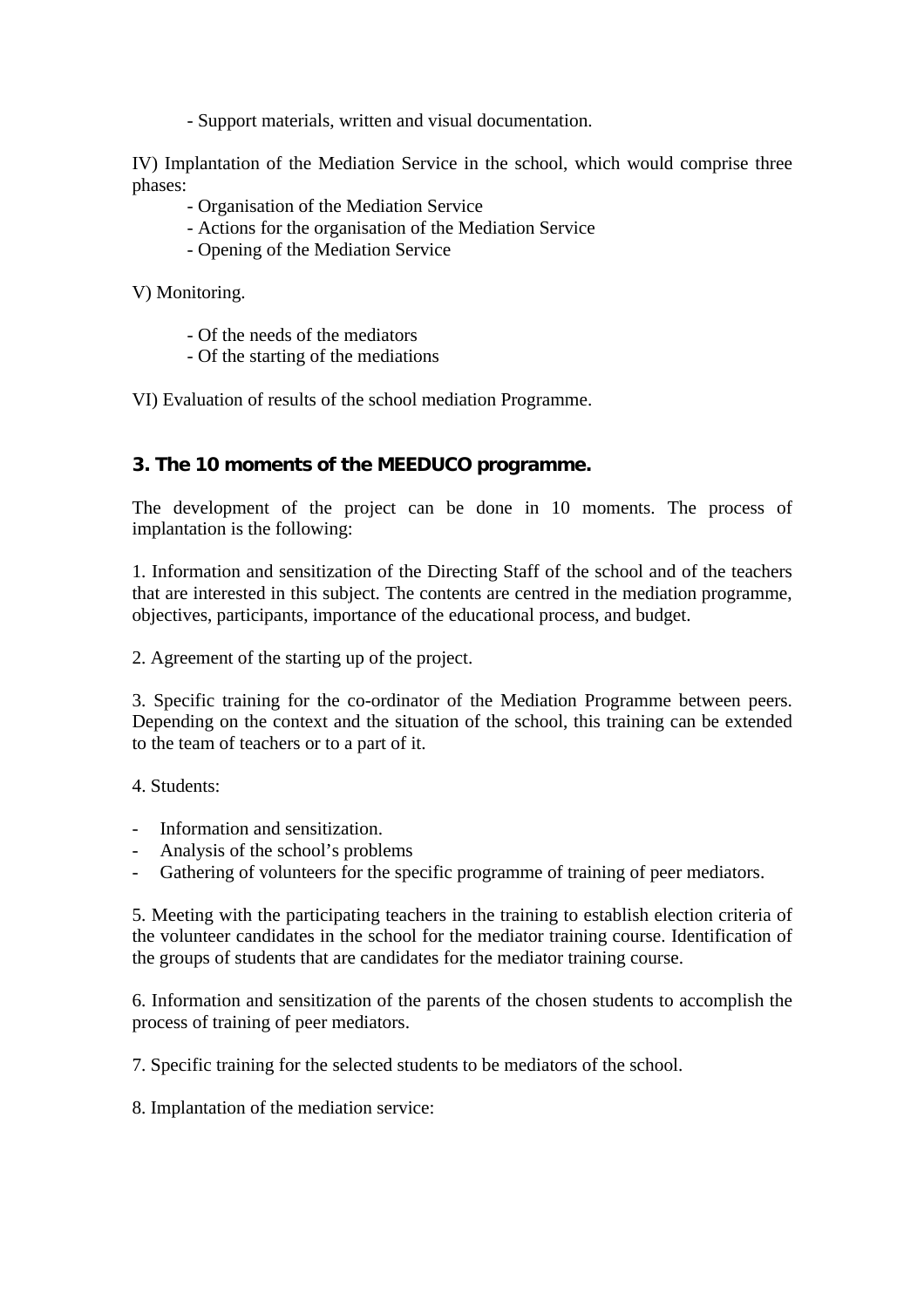- Support materials, written and visual documentation.

IV) Implantation of the Mediation Service in the school, which would comprise three phases:

- Organisation of the Mediation Service
- Actions for the organisation of the Mediation Service
- Opening of the Mediation Service

V) Monitoring.

- Of the needs of the mediators
- Of the starting of the mediations

VI) Evaluation of results of the school mediation Programme.

# **3. The 10 moments of the MEEDUCO programme.**

The development of the project can be done in 10 moments. The process of implantation is the following:

1. Information and sensitization of the Directing Staff of the school and of the teachers that are interested in this subject. The contents are centred in the mediation programme, objectives, participants, importance of the educational process, and budget.

2. Agreement of the starting up of the project.

3. Specific training for the co-ordinator of the Mediation Programme between peers. Depending on the context and the situation of the school, this training can be extended to the team of teachers or to a part of it.

4. Students:

- Information and sensitization.
- Analysis of the school's problems
- Gathering of volunteers for the specific programme of training of peer mediators.

5. Meeting with the participating teachers in the training to establish election criteria of the volunteer candidates in the school for the mediator training course. Identification of the groups of students that are candidates for the mediator training course.

6. Information and sensitization of the parents of the chosen students to accomplish the process of training of peer mediators.

7. Specific training for the selected students to be mediators of the school.

8. Implantation of the mediation service: